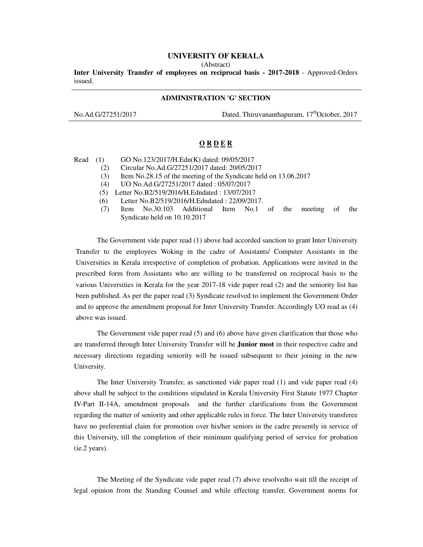## **UNIVERSITY OF KERALA**

(Abstract)

**Inter University Transfer of employees on reciprocal basis - 2017-2018** - Approved-Orders issued.

## **ADMINISTRATION 'G' SECTION**

No.Ad.G/27251/2017 Dated, Thiruvananthapuram, 17<sup>th</sup>October, 2017

## **O R D E R**

Read (1) GO No.123/2017/H.Edn(K) dated: 09/05/2017

- (2) Circular No.Ad.G/27251/2017 dated: 20/05/2017
- (3) Item No.28.15 of the meeting of the Syndicate held on 13.06.2017
- (4) UO No.Ad.G/27251/2017 dated : 05/07/2017
- (5) Letter No.B2/519/2016/H.Edndated : 13/07/2017
- (6) Letter No.B2/519/2016/H.Edndated : 22/09/2017.
- (7) Item No.30.103 Additional Item No.1 of the meeting of the Syndicate held on 10.10.2017

The Government vide paper read (1) above had accorded sanction to grant Inter University Transfer to the employees Woking in the cadre of Assistants/ Computer Assistants in the Universities in Kerala irrespective of completion of probation. Applications were invited in the prescribed form from Assistants who are willing to be transferred on reciprocal basis to the various Universities in Kerala for the year 2017-18 vide paper read (2) and the seniority list has been published. As per the paper read (3) Syndicate resolved to implement the Government Order and to approve the amendment proposal for Inter University Transfer. Accordingly UO read as (4) above was issued.

The Government vide paper read (5) and (6) above have given clarification that those who are transferred through Inter University Transfer will be **Junior most** in their respective cadre and necessary directions regarding seniority will be issued subsequent to their joining in the new University.

The Inter University Transfer, as sanctioned vide paper read (1) and vide paper read (4) above shall be subject to the conditions stipulated in Kerala University First Statute 1977 Chapter IV-Part II-14A, amendment proposals and the further clarifications from the Government regarding the matter of seniority and other applicable rules in force. The Inter University transferee have no preferential claim for promotion over his/her seniors in the cadre presently in service of this University, till the completion of their minimum qualifying period of service for probation (ie.2 years).

The Meeting of the Syndicate vide paper read (7) above resolvedto wait till the receipt of legal opinion from the Standing Counsel and while effecting transfer, Government norms for